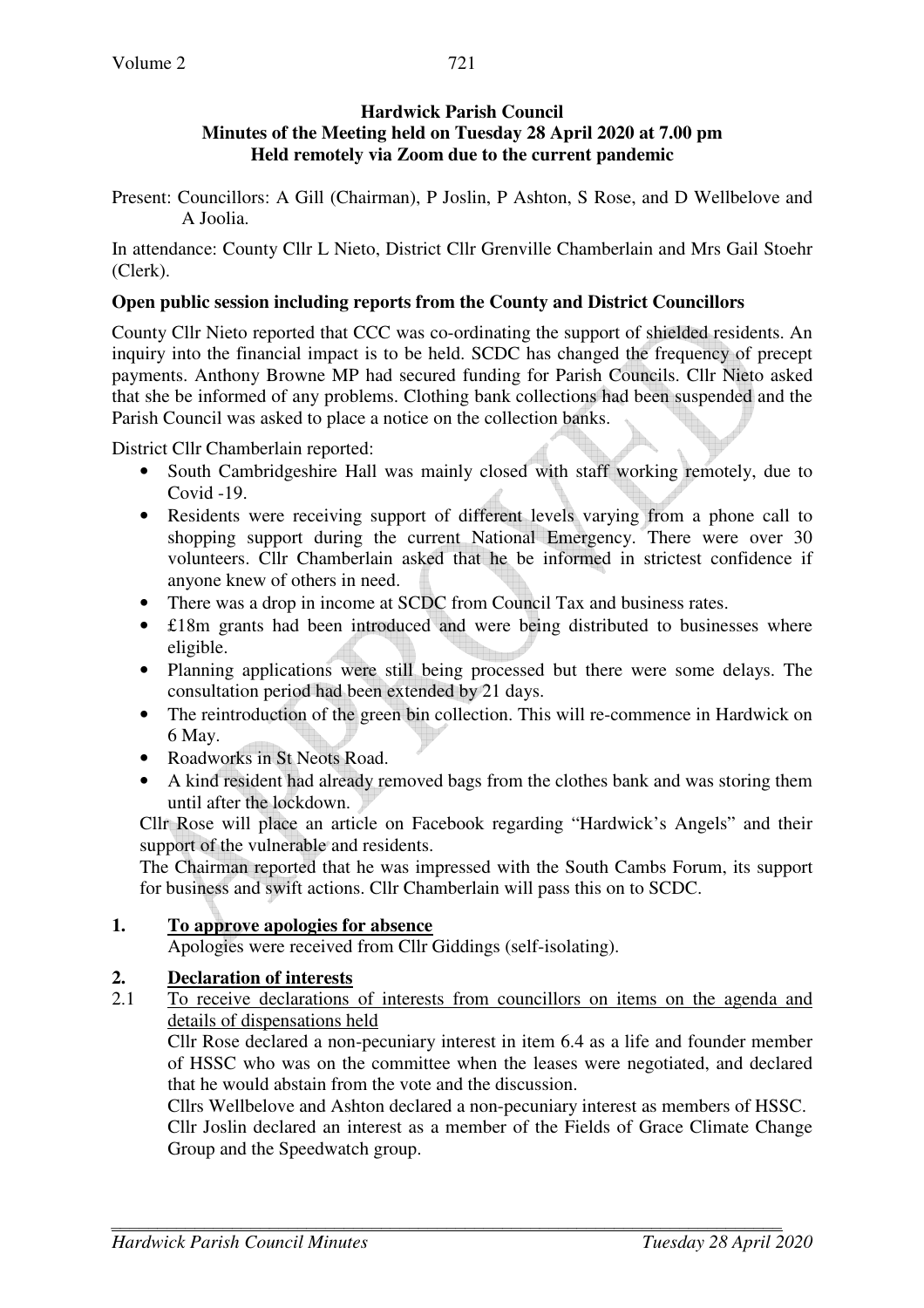### **Hardwick Parish Council Minutes of the Meeting held on Tuesday 28 April 2020 at 7.00 pm Held remotely via Zoom due to the current pandemic**

Present: Councillors: A Gill (Chairman), P Joslin, P Ashton, S Rose, and D Wellbelove and A Joolia.

In attendance: County Cllr L Nieto, District Cllr Grenville Chamberlain and Mrs Gail Stoehr (Clerk).

#### **Open public session including reports from the County and District Councillors**

County Cllr Nieto reported that CCC was co-ordinating the support of shielded residents. An inquiry into the financial impact is to be held. SCDC has changed the frequency of precept payments. Anthony Browne MP had secured funding for Parish Councils. Cllr Nieto asked that she be informed of any problems. Clothing bank collections had been suspended and the Parish Council was asked to place a notice on the collection banks.

District Cllr Chamberlain reported:

- South Cambridgeshire Hall was mainly closed with staff working remotely, due to  $Covid -19$ .
- Residents were receiving support of different levels varying from a phone call to shopping support during the current National Emergency. There were over 30 volunteers. Cllr Chamberlain asked that he be informed in strictest confidence if anyone knew of others in need.
- There was a drop in income at SCDC from Council Tax and business rates.
- £18m grants had been introduced and were being distributed to businesses where eligible.
- Planning applications were still being processed but there were some delays. The consultation period had been extended by 21 days.
- The reintroduction of the green bin collection. This will re-commence in Hardwick on 6 May.
- Roadworks in St Neots Road.
- A kind resident had already removed bags from the clothes bank and was storing them until after the lockdown.

Cllr Rose will place an article on Facebook regarding "Hardwick's Angels" and their support of the vulnerable and residents.

The Chairman reported that he was impressed with the South Cambs Forum, its support for business and swift actions. Cllr Chamberlain will pass this on to SCDC.

### **1. To approve apologies for absence**

Apologies were received from Cllr Giddings (self-isolating).

### **2. Declaration of interests**

2.1 To receive declarations of interests from councillors on items on the agenda and details of dispensations held

Cllr Rose declared a non-pecuniary interest in item 6.4 as a life and founder member of HSSC who was on the committee when the leases were negotiated, and declared that he would abstain from the vote and the discussion.

Cllrs Wellbelove and Ashton declared a non-pecuniary interest as members of HSSC.

Cllr Joslin declared an interest as a member of the Fields of Grace Climate Change Group and the Speedwatch group.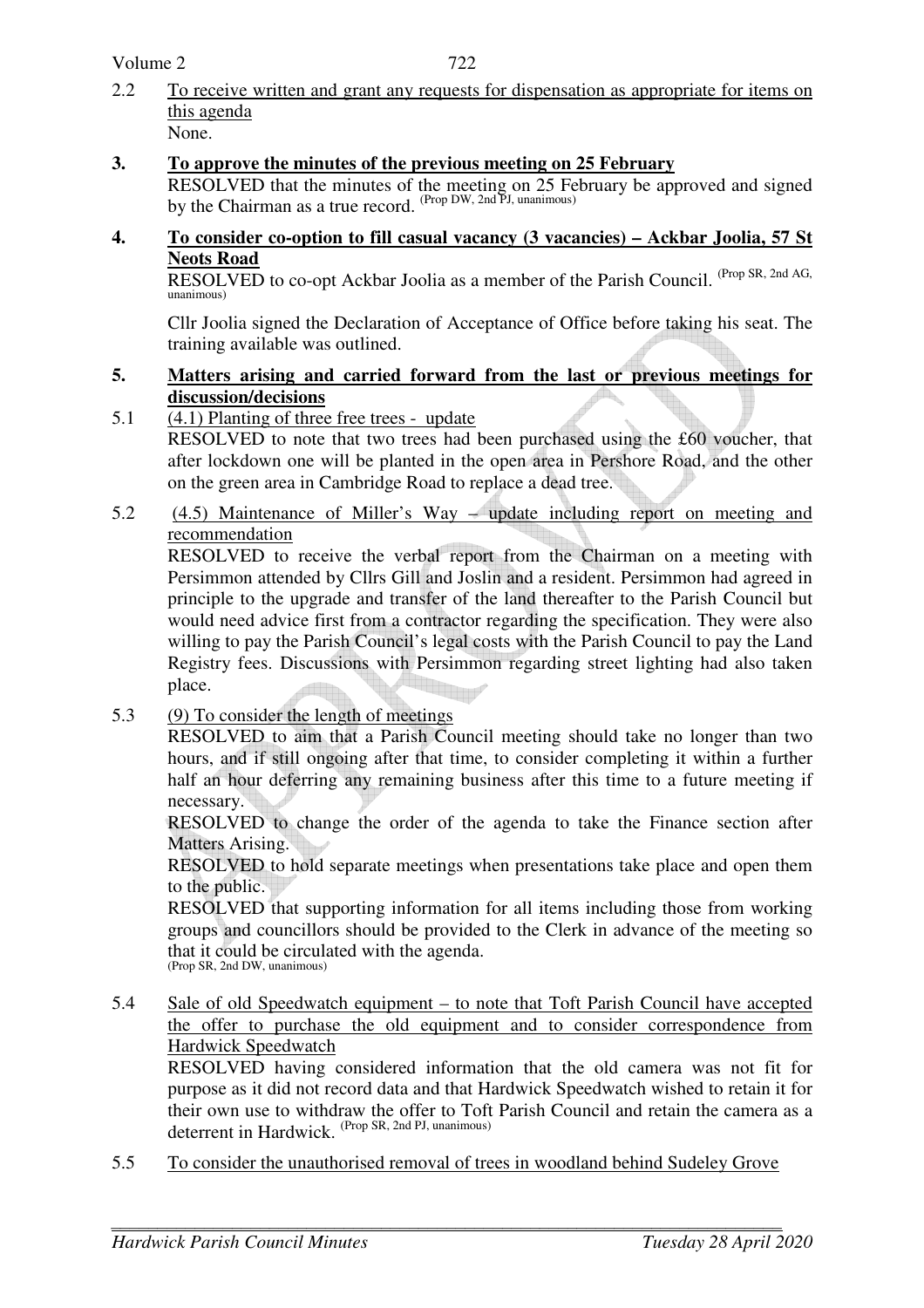2.2 To receive written and grant any requests for dispensation as appropriate for items on this agenda None.

## **3. To approve the minutes of the previous meeting on 25 February**

 RESOLVED that the minutes of the meeting on 25 February be approved and signed by the Chairman as a true record. <sup>(Prop DW, 2nd PJ, unanimous)</sup>

### **4. To consider co-option to fill casual vacancy (3 vacancies) – Ackbar Joolia, 57 St Neots Road**

RESOLVED to co-opt Ackbar Joolia as a member of the Parish Council. (Prop SR, 2nd AG, unanimous)

Cllr Joolia signed the Declaration of Acceptance of Office before taking his seat. The training available was outlined.

# **5. Matters arising and carried forward from the last or previous meetings for discussion/decisions**<br>5.1 (4.1) Planting of three

 $(4.1)$  Planting of three free trees - update

 RESOLVED to note that two trees had been purchased using the £60 voucher, that after lockdown one will be planted in the open area in Pershore Road, and the other on the green area in Cambridge Road to replace a dead tree.

5.2 (4.5) Maintenance of Miller's Way – update including report on meeting and recommendation

RESOLVED to receive the verbal report from the Chairman on a meeting with Persimmon attended by Cllrs Gill and Joslin and a resident. Persimmon had agreed in principle to the upgrade and transfer of the land thereafter to the Parish Council but would need advice first from a contractor regarding the specification. They were also willing to pay the Parish Council's legal costs with the Parish Council to pay the Land Registry fees. Discussions with Persimmon regarding street lighting had also taken place.

5.3 (9) To consider the length of meetings

RESOLVED to aim that a Parish Council meeting should take no longer than two hours, and if still ongoing after that time, to consider completing it within a further half an hour deferring any remaining business after this time to a future meeting if necessary.

RESOLVED to change the order of the agenda to take the Finance section after Matters Arising.

RESOLVED to hold separate meetings when presentations take place and open them to the public.

RESOLVED that supporting information for all items including those from working groups and councillors should be provided to the Clerk in advance of the meeting so that it could be circulated with the agenda. (Prop SR, 2nd DW, unanimous)

5.4 Sale of old Speedwatch equipment – to note that Toft Parish Council have accepted the offer to purchase the old equipment and to consider correspondence from Hardwick Speedwatch

RESOLVED having considered information that the old camera was not fit for purpose as it did not record data and that Hardwick Speedwatch wished to retain it for their own use to withdraw the offer to Toft Parish Council and retain the camera as a deterrent in Hardwick. (Prop SR, 2nd PJ, unanimous)

5.5 To consider the unauthorised removal of trees in woodland behind Sudeley Grove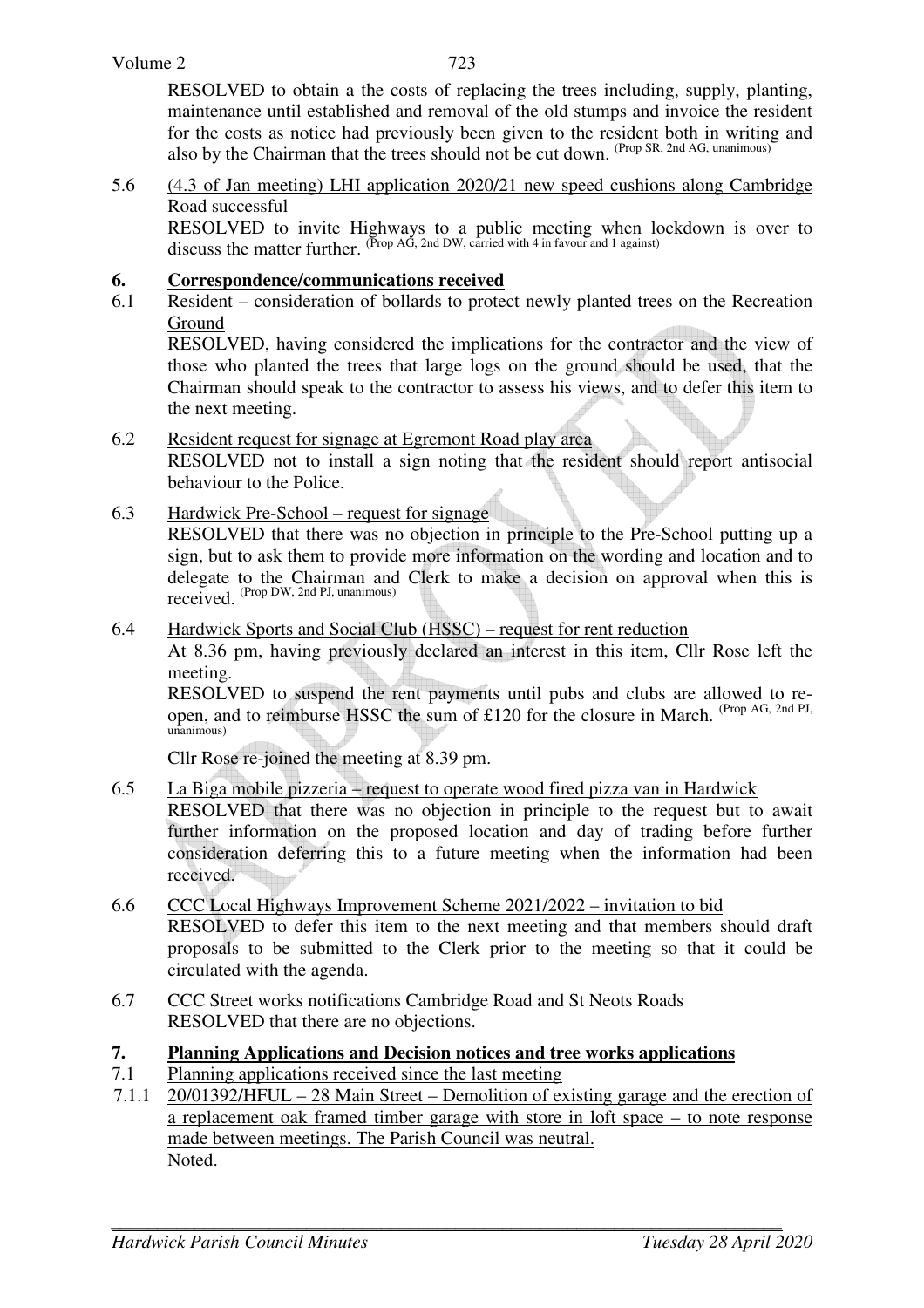### Volume 2

RESOLVED to obtain a the costs of replacing the trees including, supply, planting, maintenance until established and removal of the old stumps and invoice the resident for the costs as notice had previously been given to the resident both in writing and also by the Chairman that the trees should not be cut down. (Prop SR, 2nd AG, unanimous)

5.6 (4.3 of Jan meeting) LHI application 2020/21 new speed cushions along Cambridge Road successful

RESOLVED to invite Highways to a public meeting when lockdown is over to discuss the matter further.  $(\overline{Prop} \,\mathrm{AG}, 2nd \,\mathrm{DW})$ , carried with 4 in favour and 1 against)

### **6. Correspondence/communications received**

6.1 Resident – consideration of bollards to protect newly planted trees on the Recreation Ground

RESOLVED, having considered the implications for the contractor and the view of those who planted the trees that large logs on the ground should be used, that the Chairman should speak to the contractor to assess his views, and to defer this item to the next meeting.

- 6.2 Resident request for signage at Egremont Road play area RESOLVED not to install a sign noting that the resident should report antisocial behaviour to the Police.
- 6.3 Hardwick Pre-School request for signage

 RESOLVED that there was no objection in principle to the Pre-School putting up a sign, but to ask them to provide more information on the wording and location and to delegate to the Chairman and Clerk to make a decision on approval when this is received. (Prop DW, 2nd PJ, unanimous)

6.4 Hardwick Sports and Social Club (HSSC) – request for rent reduction

 At 8.36 pm, having previously declared an interest in this item, Cllr Rose left the meeting.

 RESOLVED to suspend the rent payments until pubs and clubs are allowed to reopen, and to reimburse HSSC the sum of £120 for the closure in March. (Prop AG, 2nd PJ,  $unamine)$ 

Cllr Rose re-joined the meeting at 8.39 pm.

6.5 La Biga mobile pizzeria – request to operate wood fired pizza van in Hardwick

 RESOLVED that there was no objection in principle to the request but to await further information on the proposed location and day of trading before further consideration deferring this to a future meeting when the information had been received.

- 6.6 CCC Local Highways Improvement Scheme 2021/2022 invitation to bid RESOLVED to defer this item to the next meeting and that members should draft proposals to be submitted to the Clerk prior to the meeting so that it could be circulated with the agenda.
- 6.7 CCC Street works notifications Cambridge Road and St Neots Roads RESOLVED that there are no objections.
- **7. Planning Applications and Decision notices and tree works applications**
- 7.1 Planning applications received since the last meeting
- 7.1.1 20/01392/HFUL 28 Main Street Demolition of existing garage and the erection of a replacement oak framed timber garage with store in loft space – to note response made between meetings. The Parish Council was neutral. Noted.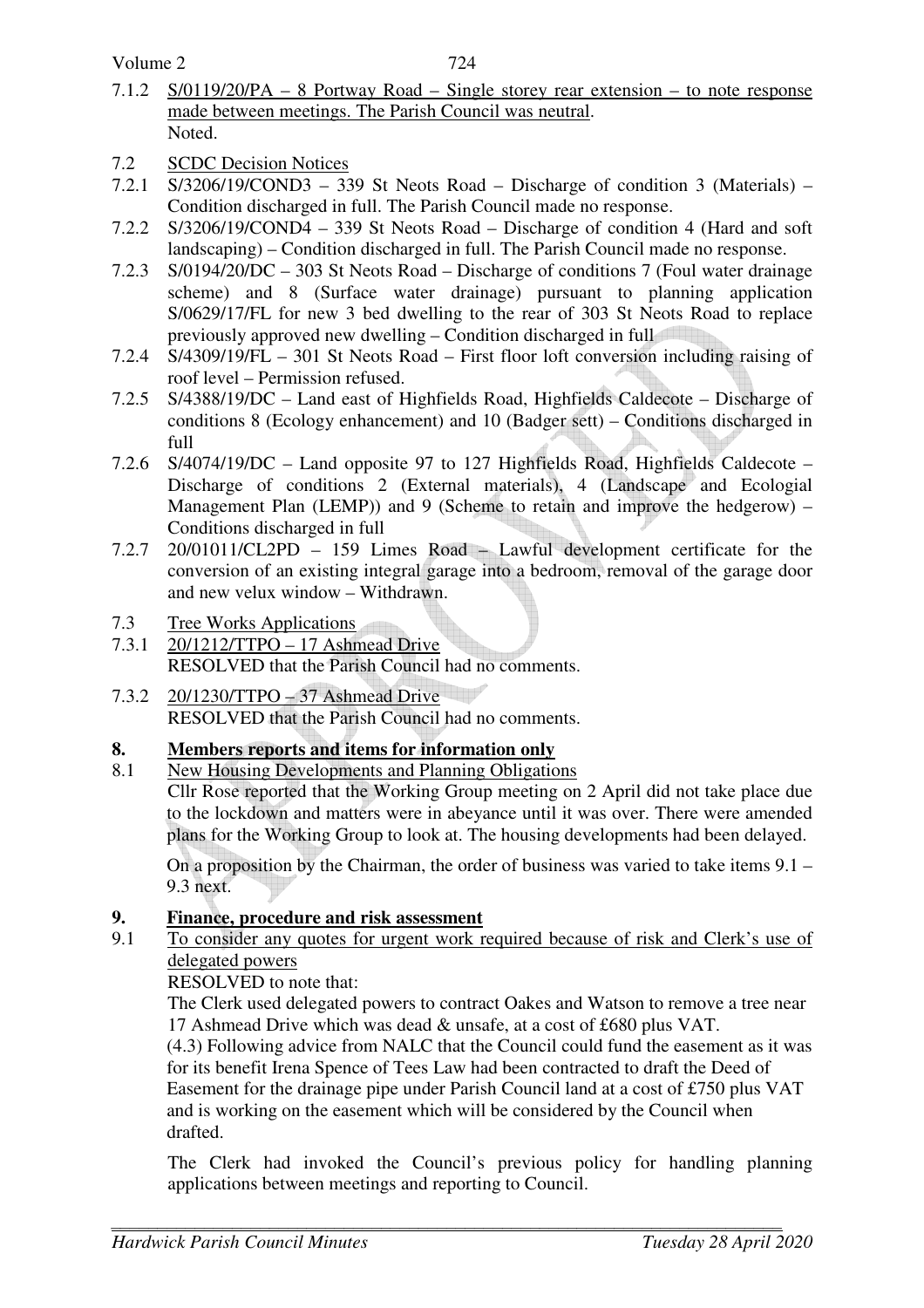Volume 2

- 7.1.2 S/0119/20/PA 8 Portway Road Single storey rear extension to note response made between meetings. The Parish Council was neutral. Noted.
- 7.2 SCDC Decision Notices
- 7.2.1 S/3206/19/COND3 339 St Neots Road Discharge of condition 3 (Materials) Condition discharged in full. The Parish Council made no response.
- 7.2.2 S/3206/19/COND4 339 St Neots Road Discharge of condition 4 (Hard and soft landscaping) – Condition discharged in full. The Parish Council made no response.
- 7.2.3 S/0194/20/DC 303 St Neots Road Discharge of conditions 7 (Foul water drainage scheme) and 8 (Surface water drainage) pursuant to planning application S/0629/17/FL for new 3 bed dwelling to the rear of 303 St Neots Road to replace previously approved new dwelling – Condition discharged in full
- 7.2.4 S/4309/19/FL 301 St Neots Road First floor loft conversion including raising of roof level – Permission refused.
- 7.2.5 S/4388/19/DC Land east of Highfields Road, Highfields Caldecote Discharge of conditions 8 (Ecology enhancement) and 10 (Badger sett) – Conditions discharged in full
- 7.2.6 S/4074/19/DC Land opposite 97 to 127 Highfields Road, Highfields Caldecote Discharge of conditions 2 (External materials), 4 (Landscape and Ecologial Management Plan (LEMP)) and 9 (Scheme to retain and improve the hedgerow) – Conditions discharged in full
- 7.2.7 20/01011/CL2PD 159 Limes Road Lawful development certificate for the conversion of an existing integral garage into a bedroom, removal of the garage door and new velux window – Withdrawn.
- 7.3 Tree Works Applications
- 7.3.1 20/1212/TTPO 17 Ashmead Drive RESOLVED that the Parish Council had no comments.
- 7.3.2 20/1230/TTPO 37 Ashmead Drive RESOLVED that the Parish Council had no comments.

# **8. Members reports and items for information only**

8.1 New Housing Developments and Planning Obligations

Cllr Rose reported that the Working Group meeting on 2 April did not take place due to the lockdown and matters were in abeyance until it was over. There were amended plans for the Working Group to look at. The housing developments had been delayed.

On a proposition by the Chairman, the order of business was varied to take items 9.1 – 9.3 next.

# **9. Finance, procedure and risk assessment**

9.1 To consider any quotes for urgent work required because of risk and Clerk's use of delegated powers

RESOLVED to note that:

The Clerk used delegated powers to contract Oakes and Watson to remove a tree near 17 Ashmead Drive which was dead & unsafe, at a cost of £680 plus VAT.

(4.3) Following advice from NALC that the Council could fund the easement as it was for its benefit Irena Spence of Tees Law had been contracted to draft the Deed of Easement for the drainage pipe under Parish Council land at a cost of £750 plus VAT and is working on the easement which will be considered by the Council when drafted.

The Clerk had invoked the Council's previous policy for handling planning applications between meetings and reporting to Council.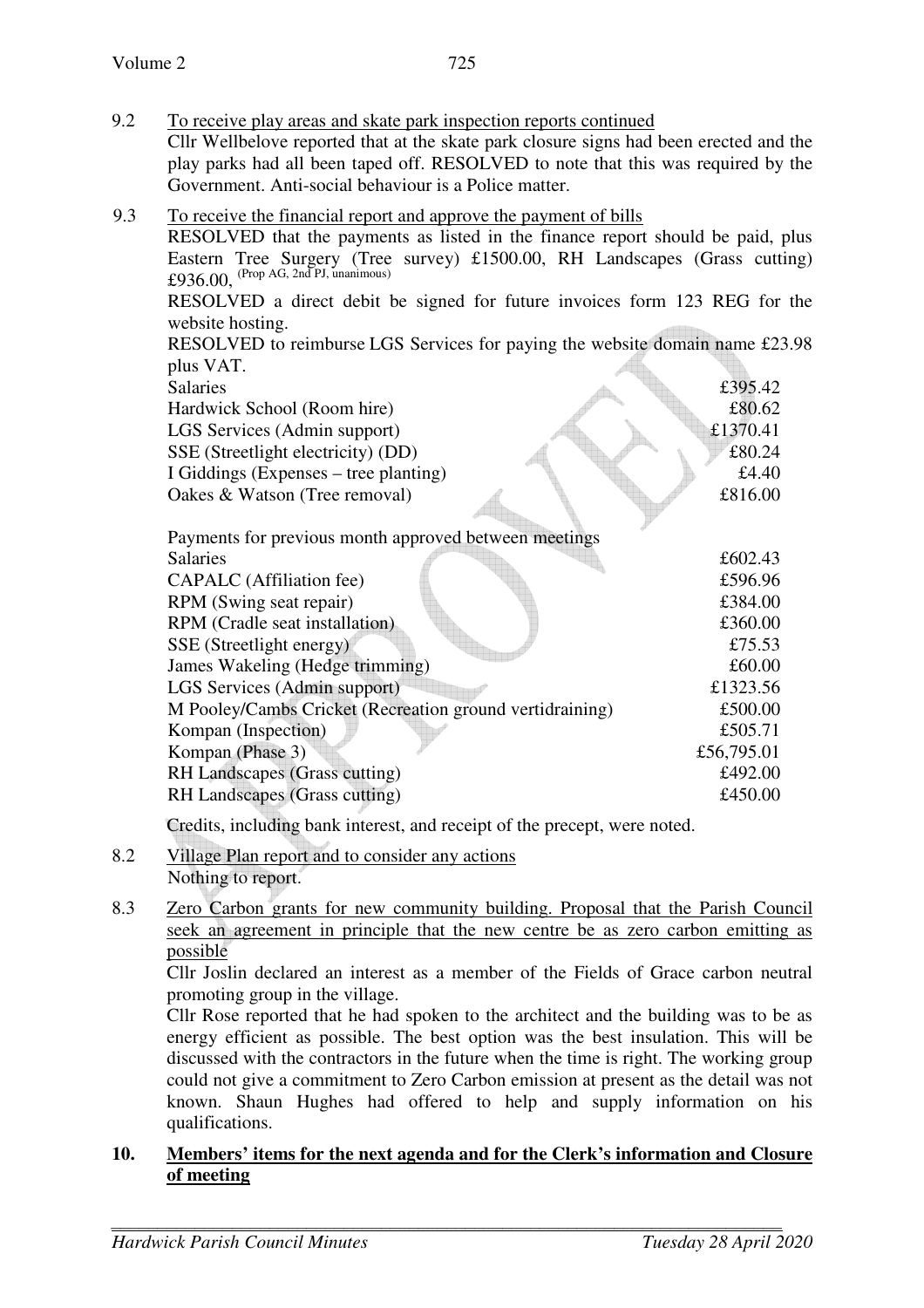9.3 To receive the financial report and approve the payment of bills

RESOLVED that the payments as listed in the finance report should be paid, plus Eastern Tree Surgery (Tree survey) £1500.00, RH Landscapes (Grass cutting)  $£936.00,$  (Prop AG, 2nd PJ, unanimous) RESOLVED a direct debit be signed for future invoices form 123 REG for the website hosting. RESOLVED to reimburse LGS Services for paying the website domain name £23.98 plus VAT. Salaries  $\text{\textsterling}395.42$ Hardwick School (Room hire)  $£80.62$ LGS Services (Admin support)  $£1370.41$ SSE (Streetlight electricity) (DD)  $£80.24$ I Giddings (Expenses – tree planting)  $\pounds 4.40$ Oakes & Watson (Tree removal)  $£816.00$ Payments for previous month approved between meetings Salaries  $£602.43$ CAPALC (Affiliation fee)  $£596.96$ RPM (Swing seat repair)  $\qquad 2384.00$ RPM (Cradle seat installation)  $£360.00$ SSE (Streetlight energy)  $£75.53$ James Wakeling (Hedge trimming)  $£60.00$ LGS Services (Admin support)  $£1323.56$ M Pooley/Cambs Cricket (Recreation ground vertidraining) £500.00 Kompan (Inspection)  $\qquad$  £505.71

Kompan (Phase 3)  $\pounds$ 56,795.01 RH Landscapes (Grass cutting)  $£492.00$ RH Landscapes (Grass cutting)  $£450.00$ 

Credits, including bank interest, and receipt of the precept, were noted.

- 8.2 Village Plan report and to consider any actions Nothing to report.
- 8.3 Zero Carbon grants for new community building. Proposal that the Parish Council seek an agreement in principle that the new centre be as zero carbon emitting as possible

 Cllr Joslin declared an interest as a member of the Fields of Grace carbon neutral promoting group in the village.

Cllr Rose reported that he had spoken to the architect and the building was to be as energy efficient as possible. The best option was the best insulation. This will be discussed with the contractors in the future when the time is right. The working group could not give a commitment to Zero Carbon emission at present as the detail was not known. Shaun Hughes had offered to help and supply information on his qualifications.

## **10. Members' items for the next agenda and for the Clerk's information and Closure of meeting**